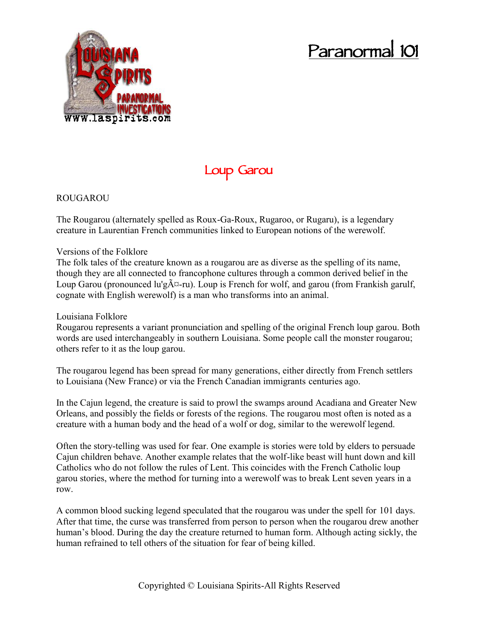# **Paranormal 101**



# **Loup Garou**

## ROUGAROU

The Rougarou (alternately spelled as Roux-Ga-Roux, Rugaroo, or Rugaru), is a legendary creature in Laurentian French communities linked to European notions of the werewolf.

#### Versions of the Folklore

The folk tales of the creature known as a rougarou are as diverse as the spelling of its name, though they are all connected to francophone cultures through a common derived belief in the Loup Garou (pronounced lu'g $\tilde{A}$  $\alpha$ -ru). Loup is French for wolf, and garou (from Frankish garulf, cognate with English werewolf) is a man who transforms into an animal.

### Louisiana Folklore

Rougarou represents a variant pronunciation and spelling of the original French loup garou. Both words are used interchangeably in southern Louisiana. Some people call the monster rougarou; others refer to it as the loup garou.

The rougarou legend has been spread for many generations, either directly from French settlers to Louisiana (New France) or via the French Canadian immigrants centuries ago.

In the Cajun legend, the creature is said to prowl the swamps around Acadiana and Greater New Orleans, and possibly the fields or forests of the regions. The rougarou most often is noted as a creature with a human body and the head of a wolf or dog, similar to the werewolf legend.

Often the story-telling was used for fear. One example is stories were told by elders to persuade Cajun children behave. Another example relates that the wolf-like beast will hunt down and kill Catholics who do not follow the rules of Lent. This coincides with the French Catholic loup garou stories, where the method for turning into a werewolf was to break Lent seven years in a row.

A common blood sucking legend speculated that the rougarou was under the spell for 101 days. After that time, the curse was transferred from person to person when the rougarou drew another human's blood. During the day the creature returned to human form. Although acting sickly, the human refrained to tell others of the situation for fear of being killed.